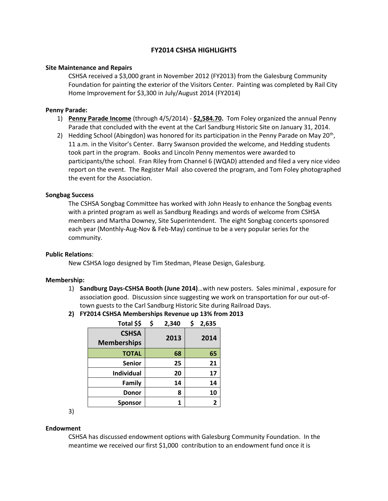# **FY2014 CSHSA HIGHLIGHTS**

# **Site Maintenance and Repairs**

CSHSA received a \$3,000 grant in November 2012 (FY2013) from the Galesburg Community Foundation for painting the exterior of the Visitors Center. Painting was completed by Rail City Home Improvement for \$3,300 in July/August 2014 (FY2014)

### **Penny Parade:**

- 1) **Penny Parade Income** (through 4/5/2014) **\$2,584.70.** Tom Foley organized the annual Penny Parade that concluded with the event at the Carl Sandburg Historic Site on January 31, 2014.
- 2) Hedding School (Abingdon) was honored for its participation in the Penny Parade on May 20<sup>th</sup>, 11 a.m. in the Visitor's Center. Barry Swanson provided the welcome, and Hedding students took part in the program. Books and Lincoln Penny mementos were awarded to participants/the school. Fran Riley from Channel 6 (WQAD) attended and filed a very nice video report on the event. The Register Mail also covered the program, and Tom Foley photographed the event for the Association.

### **Songbag Success**

The CSHSA Songbag Committee has worked with John Heasly to enhance the Songbag events with a printed program as well as Sandburg Readings and words of welcome from CSHSA members and Martha Downey, Site Superintendent. The eight Songbag concerts sponsored each year (Monthly-Aug-Nov & Feb-May) continue to be a very popular series for the community.

# **Public Relations**:

New CSHSA logo designed by Tim Stedman, Please Design, Galesburg.

#### **Membership:**

- 1) **Sandburg Days-CSHSA Booth (June 2014)**…with new posters. Sales minimal , exposure for association good. Discussion since suggesting we work on transportation for our out-oftown guests to the Carl Sandburg Historic Site during Railroad Days.
- **2) FY2014 CSHSA Memberships Revenue up 13% from 2013**

| Total \$\$         | \$ | 2,340 | \$<br>2,635 |
|--------------------|----|-------|-------------|
| <b>CSHSA</b>       |    | 2013  |             |
| <b>Memberships</b> |    |       | 2014        |
| <b>TOTAL</b>       |    | 68    | 65          |
| <b>Senior</b>      |    | 25    | 21          |
| <b>Individual</b>  |    | 20    | 17          |
| Family             |    | 14    | 14          |
| <b>Donor</b>       |    | 8     | 10          |
| <b>Sponsor</b>     |    |       | 2           |

3)

#### **Endowment**

CSHSA has discussed endowment options with Galesburg Community Foundation. In the meantime we received our first \$1,000 contribution to an endowment fund once it is